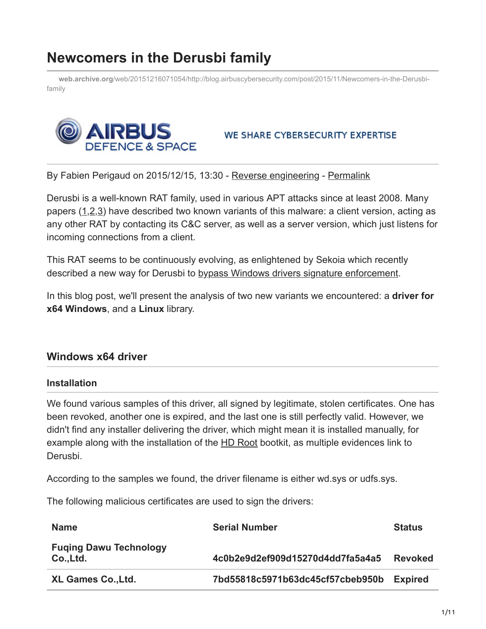# **Newcomers in the Derusbi family**

**web.archive.org**[/web/20151216071054/http://blog.airbuscybersecurity.com/post/2015/11/Newcomers-in-the-Derusbi](https://web.archive.org/web/20151216071054/http://blog.airbuscybersecurity.com/post/2015/11/Newcomers-in-the-Derusbi-family)family



#### WE SHARE CYBERSECURITY EXPERTISE

By Fabien Perigaud on 2015/12/15, 13:30 - [Reverse engineering](https://web.archive.org/web/20151216071054/http://blog.airbuscybersecurity.com/category/Reverse-engineering) - [Permalink](https://web.archive.org/web/20151216071054/http://blog.airbuscybersecurity.com/post/2015/11/Newcomers-in-the-Derusbi-family)

Derusbi is a well-known RAT family, used in various APT attacks since at least 2008. Many papers ([1,](https://web.archive.org/web/20151216071054/https://www.novetta.com/wp-content/uploads/2014/11/Derusbi.pdf)[2,](https://web.archive.org/web/20151216071054/https://www.emc.com/collateral/white-papers/h12756-wp-shell-crew.pdf)[3\)](https://web.archive.org/web/20151216071054/https://assets.documentcloud.org/documents/2084641/crowdstrike-deep-panda-report.pdf) have described two known variants of this malware: a client version, acting as any other RAT by contacting its C&C server, as well as a server version, which just listens for incoming connections from a client.

This RAT seems to be continuously evolving, as enlightened by Sekoia which recently described a new way for Derusbi to [bypass Windows drivers signature enforcement.](https://web.archive.org/web/20151216071054/http://www.sekoia.fr/blog/windows-driver-signing-bypass-by-derusbi/)

In this blog post, we'll present the analysis of two new variants we encountered: a **driver for x64 Windows**, and a **Linux** library.

#### **Windows x64 driver**

#### **Installation**

We found various samples of this driver, all signed by legitimate, stolen certificates. One has been revoked, another one is expired, and the last one is still perfectly valid. However, we didn't find any installer delivering the driver, which might mean it is installed manually, for example along with the installation of the [HD Root](https://web.archive.org/web/20151216071054/https://securelist.com/analysis/publications/72275/i-am-hdroot-part-1/) bootkit, as multiple evidences link to Derusbi.

According to the samples we found, the driver filename is either wd.sys or udfs.sys.

The following malicious certificates are used to sign the drivers:

| <b>Name</b>                                | <b>Serial Number</b>             | <b>Status</b>  |
|--------------------------------------------|----------------------------------|----------------|
| <b>Fuging Dawu Technology</b><br>Co., Ltd. | 4c0b2e9d2ef909d15270d4dd7fa5a4a5 | <b>Revoked</b> |
| <b>XL Games Co., Ltd.</b>                  | 7bd55818c5971b63dc45cf57cbeb950b | <b>Expired</b> |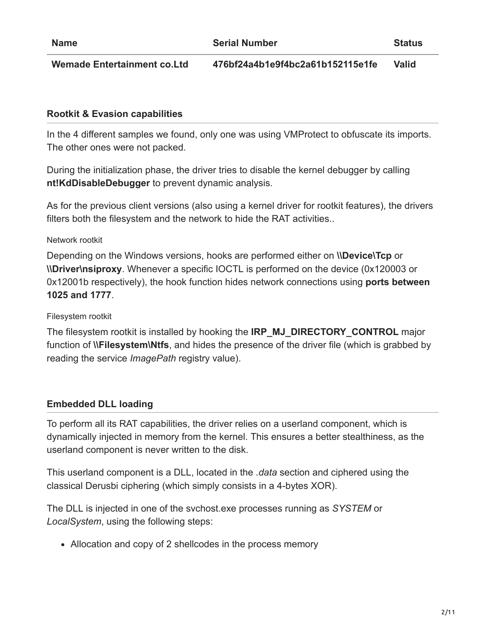**Wemade Entertainment co.Ltd 476bf24a4b1e9f4bc2a61b152115e1fe Valid**

#### **Rootkit & Evasion capabilities**

In the 4 different samples we found, only one was using VMProtect to obfuscate its imports. The other ones were not packed.

During the initialization phase, the driver tries to disable the kernel debugger by calling **nt!KdDisableDebugger** to prevent dynamic analysis.

As for the previous client versions (also using a kernel driver for rootkit features), the drivers filters both the filesystem and the network to hide the RAT activities..

#### Network rootkit

Depending on the Windows versions, hooks are performed either on **\\Device\Tcp** or **\\Driver\nsiproxy**. Whenever a specific IOCTL is performed on the device (0x120003 or 0x12001b respectively), the hook function hides network connections using **ports between 1025 and 1777**.

#### Filesystem rootkit

The filesystem rootkit is installed by hooking the **IRP\_MJ\_DIRECTORY\_CONTROL** major function of **\\Filesystem\Ntfs**, and hides the presence of the driver file (which is grabbed by reading the service *ImagePath* registry value).

#### **Embedded DLL loading**

To perform all its RAT capabilities, the driver relies on a userland component, which is dynamically injected in memory from the kernel. This ensures a better stealthiness, as the userland component is never written to the disk.

This userland component is a DLL, located in the *.data* section and ciphered using the classical Derusbi ciphering (which simply consists in a 4-bytes XOR).

The DLL is injected in one of the svchost.exe processes running as *SYSTEM* or *LocalSystem*, using the following steps:

Allocation and copy of 2 shellcodes in the process memory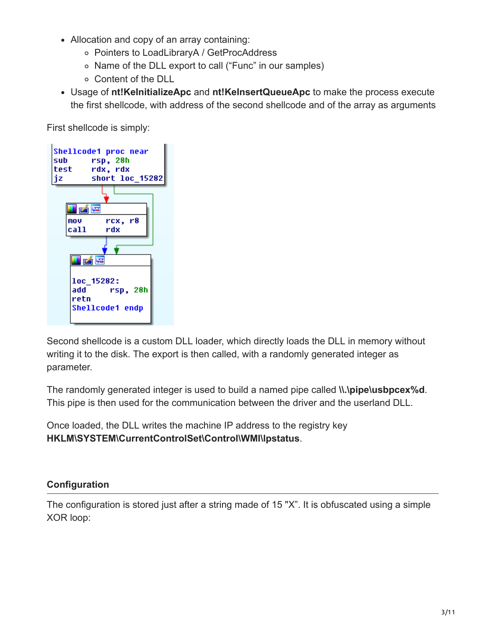- Allocation and copy of an array containing:
	- Pointers to LoadLibraryA / GetProcAddress
	- o Name of the DLL export to call ("Func" in our samples)
	- Content of the DLL
- Usage of **nt!KeInitializeApc** and **nt!KeInsertQueueApc** to make the process execute the first shellcode, with address of the second shellcode and of the array as arguments

First shellcode is simply:



Second shellcode is a custom DLL loader, which directly loads the DLL in memory without writing it to the disk. The export is then called, with a randomly generated integer as parameter.

The randomly generated integer is used to build a named pipe called **\\.\pipe\usbpcex%d**. This pipe is then used for the communication between the driver and the userland DLL.

Once loaded, the DLL writes the machine IP address to the registry key **HKLM\SYSTEM\CurrentControlSet\Control\WMI\lpstatus**.

#### **Configuration**

The configuration is stored just after a string made of 15 "X". It is obfuscated using a simple XOR loop: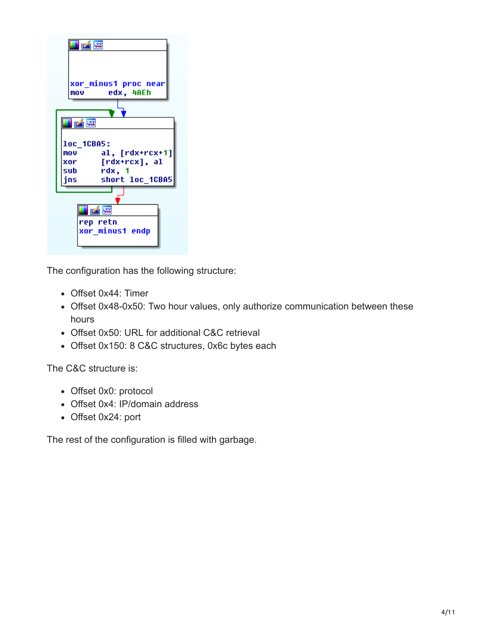

The configuration has the following structure:

- Offset 0x44: Timer
- Offset 0x48-0x50: Two hour values, only authorize communication between these hours
- Offset 0x50: URL for additional C&C retrieval
- Offset 0x150: 8 C&C structures, 0x6c bytes each

The C&C structure is:

- Offset 0x0: protocol
- Offset 0x4: IP/domain address
- Offset 0x24: port

The rest of the configuration is filled with garbage.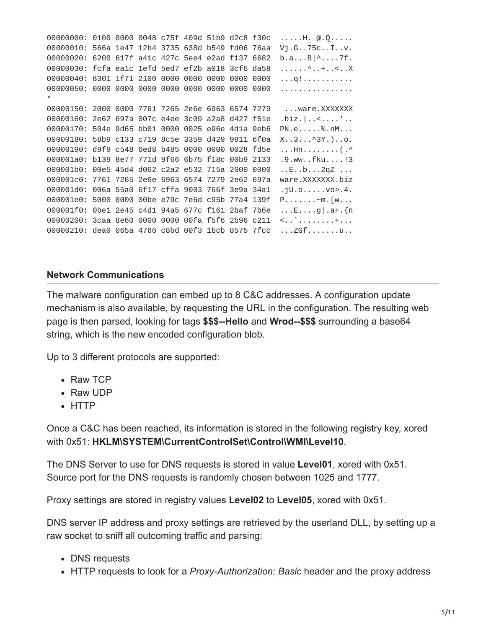00000000: 0100 0000 0048 c75f 409d 51b9 d2c8 f30c .....H.\_@.Q..... 00000010: 566a 1e47 12b4 3735 638d b549 fd06 76aa Vj.G..75c..I..v. 00000020: 6200 617f a41c 427c 5ee4 e2ad f137 6682 b.a...B|^....7f. 00000030: fcfa ea1c 1efd 5ed7 ef2b a018 3cf6 da58 ......^..+..<..X 00000040: 8301 1f71 2100 0000 0000 0000 0000 0000 ...q!........... 00000050: 0000 0000 0000 0000 0000 0000 0000 0000 ................ \* 00000150: 2000 0000 7761 7265 2e6e 6963 6574 7279 ...ware.XXXXXXX 00000160: 2e62 697a 007c e4ee 3c09 a2a8 d427 f51e .biz.|..<....'.. 00000170: 504e 9d65 bb01 0000 0025 e96e 4d1a 9eb6 PN.e.....%.nM... 00000180: 58b9 c133 c719 8c5e 3359 d429 9911 6f0a X..3...^3Y.)..o. 00000190: d9f9 c548 6ed8 b485 0000 0000 0028 fd5e ...Hn........(.^ 000001a0: b139 8e77 771d 9f66 6b75 f18c 00b9 2133 .9.ww..fku....!3 000001b0: 00e5 45d4 d062 c2a2 e532 715a 2000 0000 ..E..b...2qZ ... 000001c0: 7761 7265 2e6e 6963 6574 7279 2e62 697a ware.XXXXXXX.biz 000001d0: 006a 55a0 6f17 cffa 9003 766f 3e9a 34a1 .jU.o.....vo>.4. 000001e0: 5000 0000 00be e79c 7e6d c95b 77a4 139f P.......~m.[w... 000001f0: 0be1 2e45 c4d1 94a5 677c f161 2baf 7b6e ...E....g|.a+.{n 00000200: 3caa 8e60 0000 0000 00fa f5f6 2b96 c211 <..`........+... 00000210: dea0 065a 4766 c8bd 00f3 1bcb 8575 7fcc ...ZGf.......u..

#### **Network Communications**

The malware configuration can embed up to 8 C&C addresses. A configuration update mechanism is also available, by requesting the URL in the configuration. The resulting web page is then parsed, looking for tags **\$\$\$--Hello** and **Wrod--\$\$\$** surrounding a base64 string, which is the new encoded configuration blob.

Up to 3 different protocols are supported:

- Raw TCP
- Raw UDP
- HTTP

Once a C&C has been reached, its information is stored in the following registry key, xored with 0x51: **HKLM\SYSTEM\CurrentControlSet\Control\WMI\Level10**.

The DNS Server to use for DNS requests is stored in value **Level01**, xored with 0x51. Source port for the DNS requests is randomly chosen between 1025 and 1777.

Proxy settings are stored in registry values **Level02** to **Level05**, xored with 0x51.

DNS server IP address and proxy settings are retrieved by the userland DLL, by setting up a raw socket to sniff all outcoming traffic and parsing:

- DNS requests
- HTTP requests to look for a *Proxy-Authorization: Basic* header and the proxy address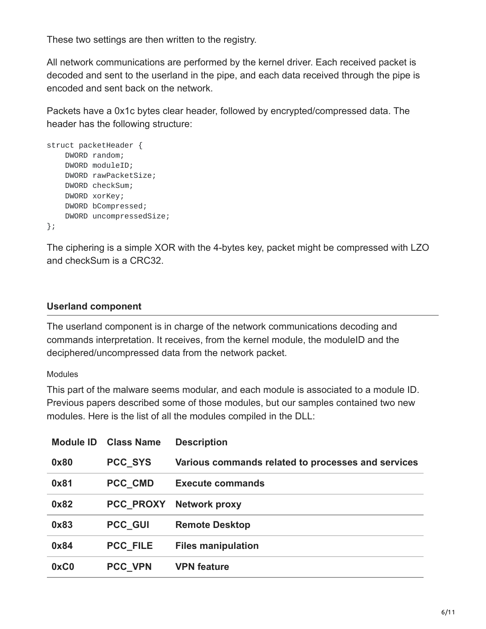These two settings are then written to the registry.

All network communications are performed by the kernel driver. Each received packet is decoded and sent to the userland in the pipe, and each data received through the pipe is encoded and sent back on the network.

Packets have a 0x1c bytes clear header, followed by encrypted/compressed data. The header has the following structure:

```
struct packetHeader {
    DWORD random;
    DWORD moduleID;
    DWORD rawPacketSize;
    DWORD checkSum;
    DWORD xorKey;
    DWORD bCompressed;
    DWORD uncompressedSize;
};
```
The ciphering is a simple XOR with the 4-bytes key, packet might be compressed with LZO and checkSum is a CRC32.

## **Userland component**

The userland component is in charge of the network communications decoding and commands interpretation. It receives, from the kernel module, the moduleID and the deciphered/uncompressed data from the network packet.

#### Modules

This part of the malware seems modular, and each module is associated to a module ID. Previous papers described some of those modules, but our samples contained two new modules. Here is the list of all the modules compiled in the DLL:

| <b>Module ID</b> | <b>Class Name</b> | <b>Description</b>                                 |
|------------------|-------------------|----------------------------------------------------|
| 0x80             | <b>PCC SYS</b>    | Various commands related to processes and services |
| 0x81             | <b>PCC CMD</b>    | <b>Execute commands</b>                            |
| 0x82             | <b>PCC PROXY</b>  | <b>Network proxy</b>                               |
| 0x83             | <b>PCC GUI</b>    | <b>Remote Desktop</b>                              |
| 0x84             | <b>PCC FILE</b>   | <b>Files manipulation</b>                          |
| 0xC0             | <b>PCC VPN</b>    | <b>VPN feature</b>                                 |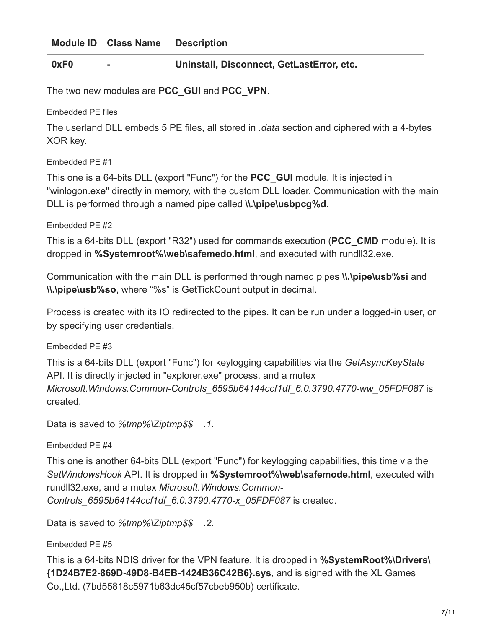#### **0xF0 - Uninstall, Disconnect, GetLastError, etc.**

The two new modules are **PCC\_GUI** and **PCC\_VPN**.

Embedded PE files

The userland DLL embeds 5 PE files, all stored in *.data* section and ciphered with a 4-bytes XOR key.

Embedded PE #1

This one is a 64-bits DLL (export "Func") for the **PCC\_GUI** module. It is injected in "winlogon.exe" directly in memory, with the custom DLL loader. Communication with the main DLL is performed through a named pipe called **\\.\pipe\usbpcg%d**.

Embedded PE #2

This is a 64-bits DLL (export "R32") used for commands execution (**PCC\_CMD** module). It is dropped in **%Systemroot%\web\safemedo.html**, and executed with rundll32.exe.

Communication with the main DLL is performed through named pipes **\\.\pipe\usb%si** and **\\.\pipe\usb%so**, where "%s" is GetTickCount output in decimal.

Process is created with its IO redirected to the pipes. It can be run under a logged-in user, or by specifying user credentials.

Embedded PE #3

This is a 64-bits DLL (export "Func") for keylogging capabilities via the *GetAsyncKeyState* API. It is directly injected in "explorer.exe" process, and a mutex *Microsoft.Windows.Common-Controls\_6595b64144ccf1df\_6.0.3790.4770-ww\_05FDF087* is created.

Data is saved to *%tmp%\Ziptmp\$\$\_\_.1*.

Embedded PE #4

This one is another 64-bits DLL (export "Func") for keylogging capabilities, this time via the *SetWindowsHook* API. It is dropped in **%Systemroot%\web\safemode.html**, executed with rundll32.exe, and a mutex *Microsoft.Windows.Common-Controls\_6595b64144ccf1df\_6.0.3790.4770-x\_05FDF087* is created.

Data is saved to *%tmp%\Ziptmp\$\$\_\_.2*.

Embedded PE #5

This is a 64-bits NDIS driver for the VPN feature. It is dropped in **%SystemRoot%\Drivers\ {1D24B7E2-869D-49D8-B4EB-1424B36C42B6}.sys**, and is signed with the XL Games Co.,Ltd. (7bd55818c5971b63dc45cf57cbeb950b) certificate.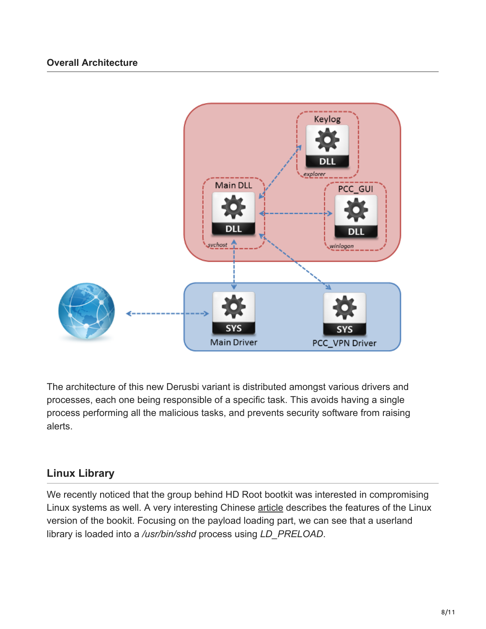

The architecture of this new Derusbi variant is distributed amongst various drivers and processes, each one being responsible of a specific task. This avoids having a single process performing all the malicious tasks, and prevents security software from raising alerts.

# **Linux Library**

We recently noticed that the group behind HD Root bootkit was interested in compromising Linux systems as well. A very interesting Chinese [article](https://web.archive.org/web/20151216071054/http://translate.wooyun.io/2015/10/23/27.html) describes the features of the Linux version of the bookit. Focusing on the payload loading part, we can see that a userland library is loaded into a */usr/bin/sshd* process using *LD\_PRELOAD*.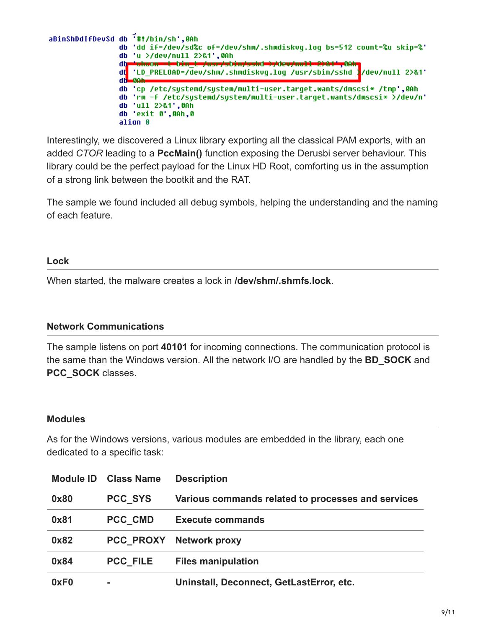

Interestingly, we discovered a Linux library exporting all the classical PAM exports, with an added *CTOR* leading to a **PccMain()** function exposing the Derusbi server behaviour. This library could be the perfect payload for the Linux HD Root, comforting us in the assumption of a strong link between the bootkit and the RAT.

The sample we found included all debug symbols, helping the understanding and the naming of each feature.

#### **Lock**

When started, the malware creates a lock in **/dev/shm/.shmfs.lock**.

#### **Network Communications**

The sample listens on port **40101** for incoming connections. The communication protocol is the same than the Windows version. All the network I/O are handled by the **BD\_SOCK** and **PCC\_SOCK** classes.

#### **Modules**

As for the Windows versions, various modules are embedded in the library, each one dedicated to a specific task:

| <b>Module ID</b> | <b>Class Name</b> | <b>Description</b>                                 |
|------------------|-------------------|----------------------------------------------------|
| 0x80             | <b>PCC SYS</b>    | Various commands related to processes and services |
| 0x81             | <b>PCC CMD</b>    | <b>Execute commands</b>                            |
| 0x82             |                   | <b>PCC PROXY Network proxy</b>                     |
| 0x84             | <b>PCC FILE</b>   | <b>Files manipulation</b>                          |
| 0xF <sub>0</sub> | ۰                 | Uninstall, Deconnect, GetLastError, etc.           |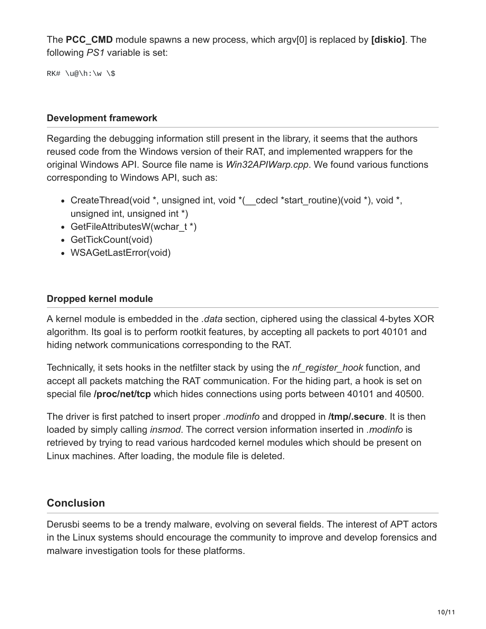The **PCC\_CMD** module spawns a new process, which argv[0] is replaced by **[diskio]**. The following *PS1* variable is set:

RK# \u@\h:\w \\$

#### **Development framework**

Regarding the debugging information still present in the library, it seems that the authors reused code from the Windows version of their RAT, and implemented wrappers for the original Windows API. Source file name is *Win32APIWarp.cpp*. We found various functions corresponding to Windows API, such as:

- CreateThread(void \*, unsigned int, void \*( cdecl \*start routine)(void \*), void \*, unsigned int, unsigned int \*)
- GetFileAttributesW(wchar t \*)
- GetTickCount(void)
- WSAGetLastError(void)

#### **Dropped kernel module**

A kernel module is embedded in the *.data* section, ciphered using the classical 4-bytes XOR algorithm. Its goal is to perform rootkit features, by accepting all packets to port 40101 and hiding network communications corresponding to the RAT.

Technically, it sets hooks in the netfilter stack by using the *nf\_register\_hook* function, and accept all packets matching the RAT communication. For the hiding part, a hook is set on special file **/proc/net/tcp** which hides connections using ports between 40101 and 40500.

The driver is first patched to insert proper *.modinfo* and dropped in **/tmp/.secure**. It is then loaded by simply calling *insmod*. The correct version information inserted in *.modinfo* is retrieved by trying to read various hardcoded kernel modules which should be present on Linux machines. After loading, the module file is deleted.

## **Conclusion**

Derusbi seems to be a trendy malware, evolving on several fields. The interest of APT actors in the Linux systems should encourage the community to improve and develop forensics and malware investigation tools for these platforms.